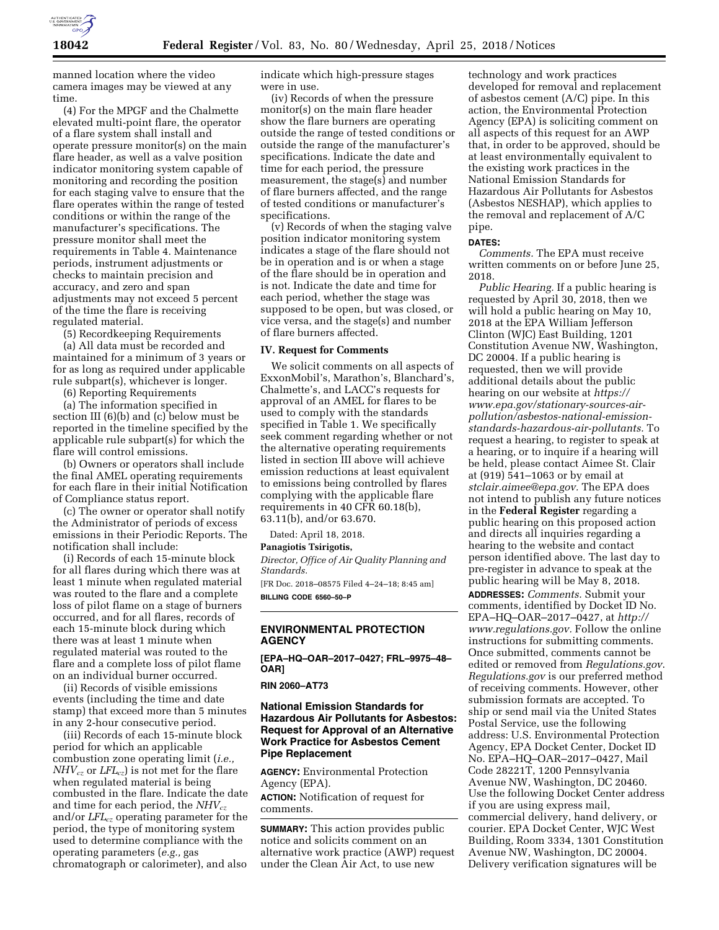

manned location where the video camera images may be viewed at any time.

(4) For the MPGF and the Chalmette elevated multi-point flare, the operator of a flare system shall install and operate pressure monitor(s) on the main flare header, as well as a valve position indicator monitoring system capable of monitoring and recording the position for each staging valve to ensure that the flare operates within the range of tested conditions or within the range of the manufacturer's specifications. The pressure monitor shall meet the requirements in Table 4. Maintenance periods, instrument adjustments or checks to maintain precision and accuracy, and zero and span adjustments may not exceed 5 percent of the time the flare is receiving regulated material.

(5) Recordkeeping Requirements (a) All data must be recorded and

maintained for a minimum of 3 years or for as long as required under applicable rule subpart(s), whichever is longer.

(6) Reporting Requirements

(a) The information specified in section III (6)(b) and (c) below must be reported in the timeline specified by the applicable rule subpart(s) for which the flare will control emissions.

(b) Owners or operators shall include the final AMEL operating requirements for each flare in their initial Notification of Compliance status report.

(c) The owner or operator shall notify the Administrator of periods of excess emissions in their Periodic Reports. The notification shall include:

(i) Records of each 15-minute block for all flares during which there was at least 1 minute when regulated material was routed to the flare and a complete loss of pilot flame on a stage of burners occurred, and for all flares, records of each 15-minute block during which there was at least 1 minute when regulated material was routed to the flare and a complete loss of pilot flame on an individual burner occurred.

(ii) Records of visible emissions events (including the time and date stamp) that exceed more than 5 minutes in any 2-hour consecutive period.

(iii) Records of each 15-minute block period for which an applicable combustion zone operating limit (*i.e., NHVcz* or *LFLcz*) is not met for the flare when regulated material is being combusted in the flare. Indicate the date and time for each period, the *NHVcz* and/or *LFLcz* operating parameter for the period, the type of monitoring system used to determine compliance with the operating parameters (*e.g.,* gas chromatograph or calorimeter), and also

indicate which high-pressure stages were in use.

(iv) Records of when the pressure monitor(s) on the main flare header show the flare burners are operating outside the range of tested conditions or outside the range of the manufacturer's specifications. Indicate the date and time for each period, the pressure measurement, the stage(s) and number of flare burners affected, and the range of tested conditions or manufacturer's specifications.

(v) Records of when the staging valve position indicator monitoring system indicates a stage of the flare should not be in operation and is or when a stage of the flare should be in operation and is not. Indicate the date and time for each period, whether the stage was supposed to be open, but was closed, or vice versa, and the stage(s) and number of flare burners affected.

#### **IV. Request for Comments**

We solicit comments on all aspects of ExxonMobil's, Marathon's, Blanchard's, Chalmette's, and LACC's requests for approval of an AMEL for flares to be used to comply with the standards specified in Table 1. We specifically seek comment regarding whether or not the alternative operating requirements listed in section III above will achieve emission reductions at least equivalent to emissions being controlled by flares complying with the applicable flare requirements in 40 CFR 60.18(b), 63.11(b), and/or 63.670.

Dated: April 18, 2018.

#### **Panagiotis Tsirigotis,**

*Director, Office of Air Quality Planning and Standards.* 

[FR Doc. 2018–08575 Filed 4–24–18; 8:45 am] **BILLING CODE 6560–50–P** 

# **ENVIRONMENTAL PROTECTION AGENCY**

**[EPA–HQ–OAR–2017–0427; FRL–9975–48– OAR]** 

**RIN 2060–AT73** 

## **National Emission Standards for Hazardous Air Pollutants for Asbestos: Request for Approval of an Alternative Work Practice for Asbestos Cement Pipe Replacement**

**AGENCY:** Environmental Protection Agency (EPA).

**ACTION:** Notification of request for comments.

**SUMMARY:** This action provides public notice and solicits comment on an alternative work practice (AWP) request under the Clean Air Act, to use new

technology and work practices developed for removal and replacement of asbestos cement (A/C) pipe. In this action, the Environmental Protection Agency (EPA) is soliciting comment on all aspects of this request for an AWP that, in order to be approved, should be at least environmentally equivalent to the existing work practices in the National Emission Standards for Hazardous Air Pollutants for Asbestos (Asbestos NESHAP), which applies to the removal and replacement of A/C pipe.

#### **DATES:**

*Comments.* The EPA must receive written comments on or before June 25, 2018.

*Public Hearing.* If a public hearing is requested by April 30, 2018, then we will hold a public hearing on May 10, 2018 at the EPA William Jefferson Clinton (WJC) East Building, 1201 Constitution Avenue NW, Washington, DC 20004. If a public hearing is requested, then we will provide additional details about the public hearing on our website at *[https://](https://www.epa.gov/stationary-sources-air-pollution/asbestos-national-emission-standards-hazardous-air-pollutants) www.epa.gov/stationary-sources-air[pollution/asbestos-national-emission](https://www.epa.gov/stationary-sources-air-pollution/asbestos-national-emission-standards-hazardous-air-pollutants)[standards-hazardous-air-pollutants.](https://www.epa.gov/stationary-sources-air-pollution/asbestos-national-emission-standards-hazardous-air-pollutants)* To request a hearing, to register to speak at a hearing, or to inquire if a hearing will be held, please contact Aimee St. Clair at (919) 541–1063 or by email at *[stclair.aimee@epa.gov.](mailto:stclair.aimee@epa.gov)* The EPA does not intend to publish any future notices in the **Federal Register** regarding a public hearing on this proposed action and directs all inquiries regarding a hearing to the website and contact person identified above. The last day to pre-register in advance to speak at the public hearing will be May 8, 2018. **ADDRESSES:** *Comments.* Submit your comments, identified by Docket ID No. EPA–HQ–OAR–2017–0427, at *[http://](http://www.regulations.gov) [www.regulations.gov.](http://www.regulations.gov)* Follow the online instructions for submitting comments. Once submitted, comments cannot be edited or removed from *Regulations.gov*. *Regulations.gov* is our preferred method of receiving comments. However, other submission formats are accepted. To ship or send mail via the United States Postal Service, use the following address: U.S. Environmental Protection Agency, EPA Docket Center, Docket ID No. EPA–HQ–OAR–2017–0427, Mail Code 28221T, 1200 Pennsylvania Avenue NW, Washington, DC 20460. Use the following Docket Center address if you are using express mail, commercial delivery, hand delivery, or courier. EPA Docket Center, WJC West Building, Room 3334, 1301 Constitution Avenue NW, Washington, DC 20004. Delivery verification signatures will be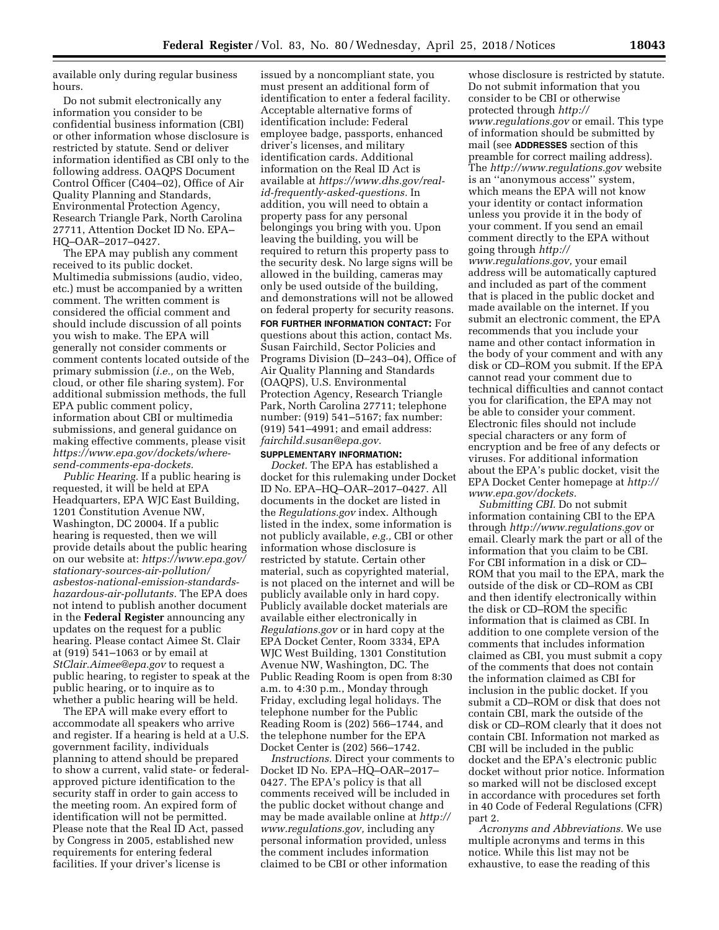available only during regular business hours.

Do not submit electronically any information you consider to be confidential business information (CBI) or other information whose disclosure is restricted by statute. Send or deliver information identified as CBI only to the following address. OAQPS Document Control Officer (C404–02), Office of Air Quality Planning and Standards, Environmental Protection Agency, Research Triangle Park, North Carolina 27711, Attention Docket ID No. EPA– HQ–OAR–2017–0427.

The EPA may publish any comment received to its public docket. Multimedia submissions (audio, video, etc.) must be accompanied by a written comment. The written comment is considered the official comment and should include discussion of all points you wish to make. The EPA will generally not consider comments or comment contents located outside of the primary submission (*i.e.,* on the Web, cloud, or other file sharing system). For additional submission methods, the full EPA public comment policy, information about CBI or multimedia submissions, and general guidance on making effective comments, please visit *[https://www.epa.gov/dockets/where](https://www.epa.gov/dockets/where-send-comments-epa-dockets)[send-comments-epa-dockets.](https://www.epa.gov/dockets/where-send-comments-epa-dockets)* 

*Public Hearing.* If a public hearing is requested, it will be held at EPA Headquarters, EPA WJC East Building, 1201 Constitution Avenue NW, Washington, DC 20004. If a public hearing is requested, then we will provide details about the public hearing on our website at: *[https://www.epa.gov/](https://www.epa.gov/stationary-sources-air-pollution/asbestos-national-emission-standards-hazardous-air-pollutants)  [stationary-sources-air-pollution/](https://www.epa.gov/stationary-sources-air-pollution/asbestos-national-emission-standards-hazardous-air-pollutants) [asbestos-national-emission-standards](https://www.epa.gov/stationary-sources-air-pollution/asbestos-national-emission-standards-hazardous-air-pollutants)[hazardous-air-pollutants.](https://www.epa.gov/stationary-sources-air-pollution/asbestos-national-emission-standards-hazardous-air-pollutants)* The EPA does not intend to publish another document in the **Federal Register** announcing any updates on the request for a public hearing. Please contact Aimee St. Clair at (919) 541–1063 or by email at *[StClair.Aimee@epa.gov](mailto:StClair.Aimee@epa.gov)* to request a public hearing, to register to speak at the public hearing, or to inquire as to whether a public hearing will be held.

The EPA will make every effort to accommodate all speakers who arrive and register. If a hearing is held at a U.S. government facility, individuals planning to attend should be prepared to show a current, valid state- or federalapproved picture identification to the security staff in order to gain access to the meeting room. An expired form of identification will not be permitted. Please note that the Real ID Act, passed by Congress in 2005, established new requirements for entering federal facilities. If your driver's license is

issued by a noncompliant state, you must present an additional form of identification to enter a federal facility. Acceptable alternative forms of identification include: Federal employee badge, passports, enhanced driver's licenses, and military identification cards. Additional information on the Real ID Act is available at *[https://www.dhs.gov/real](https://www.dhs.gov/real-id-frequently-asked-questions)[id-frequently-asked-questions.](https://www.dhs.gov/real-id-frequently-asked-questions)* In addition, you will need to obtain a property pass for any personal belongings you bring with you. Upon leaving the building, you will be required to return this property pass to the security desk. No large signs will be allowed in the building, cameras may only be used outside of the building, and demonstrations will not be allowed on federal property for security reasons.

**FOR FURTHER INFORMATION CONTACT:** For questions about this action, contact Ms. Susan Fairchild, Sector Policies and Programs Division (D–243–04), Office of Air Quality Planning and Standards (OAQPS), U.S. Environmental Protection Agency, Research Triangle Park, North Carolina 27711; telephone number: (919) 541–5167; fax number: (919) 541–4991; and email address: *[fairchild.susan@epa.gov.](mailto:fairchild.susan@epa.gov)* 

## **SUPPLEMENTARY INFORMATION:**

*Docket.* The EPA has established a docket for this rulemaking under Docket ID No. EPA–HQ–OAR–2017–0427. All documents in the docket are listed in the *Regulations.gov* index. Although listed in the index, some information is not publicly available, *e.g.,* CBI or other information whose disclosure is restricted by statute. Certain other material, such as copyrighted material, is not placed on the internet and will be publicly available only in hard copy. Publicly available docket materials are available either electronically in *Regulations.gov* or in hard copy at the EPA Docket Center, Room 3334, EPA WJC West Building, 1301 Constitution Avenue NW, Washington, DC. The Public Reading Room is open from 8:30 a.m. to 4:30 p.m., Monday through Friday, excluding legal holidays. The telephone number for the Public Reading Room is (202) 566–1744, and the telephone number for the EPA Docket Center is (202) 566–1742.

*Instructions.* Direct your comments to Docket ID No. EPA–HQ–OAR–2017– 0427. The EPA's policy is that all comments received will be included in the public docket without change and may be made available online at *[http://](http://www.regulations.gov)  [www.regulations.gov,](http://www.regulations.gov)* including any personal information provided, unless the comment includes information claimed to be CBI or other information

whose disclosure is restricted by statute. Do not submit information that you consider to be CBI or otherwise protected through *[http://](http://www.regulations.gov) [www.regulations.gov](http://www.regulations.gov)* or email. This type of information should be submitted by mail (see **ADDRESSES** section of this preamble for correct mailing address). The *<http://www.regulations.gov>*website is an ''anonymous access'' system, which means the EPA will not know your identity or contact information unless you provide it in the body of your comment. If you send an email comment directly to the EPA without going through *[http://](http://www.regulations.gov) [www.regulations.gov,](http://www.regulations.gov)* your email address will be automatically captured and included as part of the comment that is placed in the public docket and made available on the internet. If you submit an electronic comment, the EPA recommends that you include your name and other contact information in the body of your comment and with any disk or CD–ROM you submit. If the EPA cannot read your comment due to technical difficulties and cannot contact you for clarification, the EPA may not be able to consider your comment. Electronic files should not include special characters or any form of encryption and be free of any defects or viruses. For additional information about the EPA's public docket, visit the EPA Docket Center homepage at *[http://](http://www.epa.gov/dockets)  [www.epa.gov/dockets.](http://www.epa.gov/dockets)* 

*Submitting CBI.* Do not submit information containing CBI to the EPA through *<http://www.regulations.gov>* or email. Clearly mark the part or all of the information that you claim to be CBI. For CBI information in a disk or CD– ROM that you mail to the EPA, mark the outside of the disk or CD–ROM as CBI and then identify electronically within the disk or CD–ROM the specific information that is claimed as CBI. In addition to one complete version of the comments that includes information claimed as CBI, you must submit a copy of the comments that does not contain the information claimed as CBI for inclusion in the public docket. If you submit a CD–ROM or disk that does not contain CBI, mark the outside of the disk or CD–ROM clearly that it does not contain CBI. Information not marked as CBI will be included in the public docket and the EPA's electronic public docket without prior notice. Information so marked will not be disclosed except in accordance with procedures set forth in 40 Code of Federal Regulations (CFR) part 2.

*Acronyms and Abbreviations.* We use multiple acronyms and terms in this notice. While this list may not be exhaustive, to ease the reading of this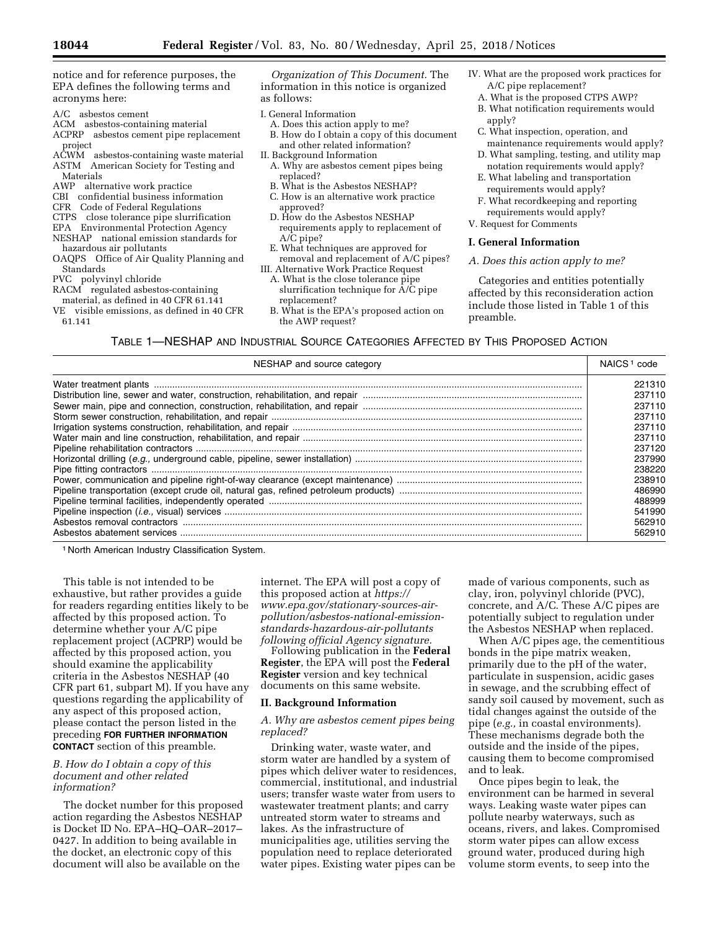notice and for reference purposes, the EPA defines the following terms and acronyms here:

- A/C asbestos cement
- ACM asbestos-containing material ACPRP asbestos cement pipe replacement
- project
- ACWM asbestos-containing waste material ASTM American Society for Testing and Materials
- AWP alternative work practice
- CBI confidential business information
- CFR Code of Federal Regulations
- CTPS close tolerance pipe slurrification
- EPA Environmental Protection Agency
- NESHAP national emission standards for hazardous air pollutants
- OAQPS Office of Air Quality Planning and **Standards**
- PVC polyvinyl chloride
- RACM regulated asbestos-containing material, as defined in 40 CFR 61.141
- VE visible emissions, as defined in 40 CFR 61.141
- 

*Organization of This Document.* The information in this notice is organized as follows:

- I. General Information
- A. Does this action apply to me? B. How do I obtain a copy of this document
- and other related information? II. Background Information
- 
- A. Why are asbestos cement pipes being replaced?
- B. What is the Asbestos NESHAP?
- C. How is an alternative work practice approved?
- D. How do the Asbestos NESHAP requirements apply to replacement of A/C pipe?
- E. What techniques are approved for removal and replacement of A/C pipes?
- III. Alternative Work Practice Request
- A. What is the close tolerance pipe slurrification technique for A/C pipe replacement?
- B. What is the EPA's proposed action on the AWP request?
- IV. What are the proposed work practices for A/C pipe replacement?
	- A. What is the proposed CTPS AWP?
	- B. What notification requirements would apply?
	- C. What inspection, operation, and maintenance requirements would apply?
	- D. What sampling, testing, and utility map notation requirements would apply?
	- E. What labeling and transportation requirements would apply?
	- F. What recordkeeping and reporting requirements would apply?
- V. Request for Comments

### **I. General Information**

#### *A. Does this action apply to me?*

Categories and entities potentially affected by this reconsideration action include those listed in Table 1 of this preamble.

TABLE 1—NESHAP AND INDUSTRIAL SOURCE CATEGORIES AFFECTED BY THIS PROPOSED ACTION

| NESHAP and source category | NAICS <sup>1</sup> code |
|----------------------------|-------------------------|
|                            | 221310                  |
|                            | 237110                  |
|                            | 237110                  |
|                            | 237110                  |
|                            | 237110                  |
|                            | 237110                  |
|                            | 237120                  |
|                            | 237990                  |
|                            | 238220                  |
|                            | 238910                  |
|                            | 486990                  |
|                            | 488999                  |
|                            | 541990                  |
|                            | 562910                  |
|                            | 562910                  |

1 North American Industry Classification System.

This table is not intended to be exhaustive, but rather provides a guide for readers regarding entities likely to be affected by this proposed action. To determine whether your A/C pipe replacement project (ACPRP) would be affected by this proposed action, you should examine the applicability criteria in the Asbestos NESHAP (40 CFR part 61, subpart M). If you have any questions regarding the applicability of any aspect of this proposed action, please contact the person listed in the preceding **FOR FURTHER INFORMATION CONTACT** section of this preamble.

# *B. How do I obtain a copy of this document and other related information?*

The docket number for this proposed action regarding the Asbestos NESHAP is Docket ID No. EPA–HQ–OAR–2017– 0427. In addition to being available in the docket, an electronic copy of this document will also be available on the

internet. The EPA will post a copy of this proposed action at *[https://](https://www.epa.gov/stationary-sources-air-pollution/asbestos-national-emission-standards-hazardous-air-pollutants) www.epa.gov/stationary-sources-air[pollution/asbestos-national-emission](https://www.epa.gov/stationary-sources-air-pollution/asbestos-national-emission-standards-hazardous-air-pollutants)standards-hazardous-air-pollutants following official Agency signature.* 

Following publication in the **Federal Register**, the EPA will post the **Federal Register** version and key technical documents on this same website.

### **II. Background Information**

*A. Why are asbestos cement pipes being replaced?* 

Drinking water, waste water, and storm water are handled by a system of pipes which deliver water to residences, commercial, institutional, and industrial users; transfer waste water from users to wastewater treatment plants; and carry untreated storm water to streams and lakes. As the infrastructure of municipalities age, utilities serving the population need to replace deteriorated water pipes. Existing water pipes can be

made of various components, such as clay, iron, polyvinyl chloride (PVC), concrete, and A/C. These A/C pipes are potentially subject to regulation under the Asbestos NESHAP when replaced.

When A/C pipes age, the cementitious bonds in the pipe matrix weaken, primarily due to the pH of the water, particulate in suspension, acidic gases in sewage, and the scrubbing effect of sandy soil caused by movement, such as tidal changes against the outside of the pipe (*e.g.,* in coastal environments). These mechanisms degrade both the outside and the inside of the pipes, causing them to become compromised and to leak.

Once pipes begin to leak, the environment can be harmed in several ways. Leaking waste water pipes can pollute nearby waterways, such as oceans, rivers, and lakes. Compromised storm water pipes can allow excess ground water, produced during high volume storm events, to seep into the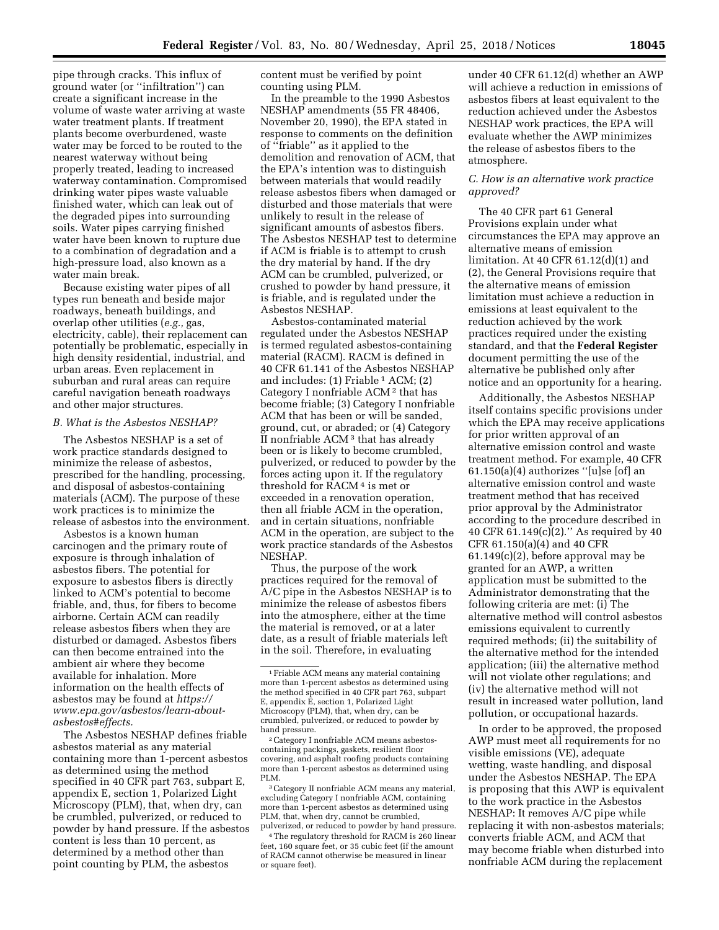pipe through cracks. This influx of ground water (or ''infiltration'') can create a significant increase in the volume of waste water arriving at waste water treatment plants. If treatment plants become overburdened, waste water may be forced to be routed to the nearest waterway without being properly treated, leading to increased waterway contamination. Compromised drinking water pipes waste valuable finished water, which can leak out of the degraded pipes into surrounding soils. Water pipes carrying finished water have been known to rupture due to a combination of degradation and a high-pressure load, also known as a water main break.

Because existing water pipes of all types run beneath and beside major roadways, beneath buildings, and overlap other utilities (*e.g.,* gas, electricity, cable), their replacement can potentially be problematic, especially in high density residential, industrial, and urban areas. Even replacement in suburban and rural areas can require careful navigation beneath roadways and other major structures.

# *B. What is the Asbestos NESHAP?*

The Asbestos NESHAP is a set of work practice standards designed to minimize the release of asbestos, prescribed for the handling, processing, and disposal of asbestos-containing materials (ACM). The purpose of these work practices is to minimize the release of asbestos into the environment.

Asbestos is a known human carcinogen and the primary route of exposure is through inhalation of asbestos fibers. The potential for exposure to asbestos fibers is directly linked to ACM's potential to become friable, and, thus, for fibers to become airborne. Certain ACM can readily release asbestos fibers when they are disturbed or damaged. Asbestos fibers can then become entrained into the ambient air where they become available for inhalation. More information on the health effects of asbestos may be found at *[https://](https://www.epa.gov/asbestos/learn-about-asbestos#effects) [www.epa.gov/asbestos/learn-about](https://www.epa.gov/asbestos/learn-about-asbestos#effects)[asbestos#effects.](https://www.epa.gov/asbestos/learn-about-asbestos#effects)* 

The Asbestos NESHAP defines friable asbestos material as any material containing more than 1-percent asbestos as determined using the method specified in 40 CFR part 763, subpart E, appendix E, section 1, Polarized Light Microscopy (PLM), that, when dry, can be crumbled, pulverized, or reduced to powder by hand pressure. If the asbestos content is less than 10 percent, as determined by a method other than point counting by PLM, the asbestos

content must be verified by point counting using PLM.

In the preamble to the 1990 Asbestos NESHAP amendments (55 FR 48406, November 20, 1990), the EPA stated in response to comments on the definition of ''friable'' as it applied to the demolition and renovation of ACM, that the EPA's intention was to distinguish between materials that would readily release asbestos fibers when damaged or disturbed and those materials that were unlikely to result in the release of significant amounts of asbestos fibers. The Asbestos NESHAP test to determine if ACM is friable is to attempt to crush the dry material by hand. If the dry ACM can be crumbled, pulverized, or crushed to powder by hand pressure, it is friable, and is regulated under the Asbestos NESHAP.

Asbestos-contaminated material regulated under the Asbestos NESHAP is termed regulated asbestos-containing material (RACM). RACM is defined in 40 CFR 61.141 of the Asbestos NESHAP and includes:  $(1)$  Friable<sup>1</sup> ACM;  $(2)$ Category I nonfriable ACM 2 that has become friable; (3) Category I nonfriable ACM that has been or will be sanded, ground, cut, or abraded; or (4) Category II nonfriable ACM 3 that has already been or is likely to become crumbled, pulverized, or reduced to powder by the forces acting upon it. If the regulatory threshold for RACM 4 is met or exceeded in a renovation operation, then all friable ACM in the operation, and in certain situations, nonfriable ACM in the operation, are subject to the work practice standards of the Asbestos NESHAP.

Thus, the purpose of the work practices required for the removal of A/C pipe in the Asbestos NESHAP is to minimize the release of asbestos fibers into the atmosphere, either at the time the material is removed, or at a later date, as a result of friable materials left in the soil. Therefore, in evaluating

2Category I nonfriable ACM means asbestoscontaining packings, gaskets, resilient floor covering, and asphalt roofing products containing more than 1-percent asbestos as determined using PLM.

3Category II nonfriable ACM means any material, excluding Category I nonfriable ACM, containing more than 1-percent asbestos as determined using PLM, that, when dry, cannot be crumbled, pulverized, or reduced to powder by hand pressure.

4The regulatory threshold for RACM is 260 linear feet, 160 square feet, or 35 cubic feet (if the amount of RACM cannot otherwise be measured in linear or square feet).

under 40 CFR 61.12(d) whether an AWP will achieve a reduction in emissions of asbestos fibers at least equivalent to the reduction achieved under the Asbestos NESHAP work practices, the EPA will evaluate whether the AWP minimizes the release of asbestos fibers to the atmosphere.

# *C. How is an alternative work practice approved?*

The 40 CFR part 61 General Provisions explain under what circumstances the EPA may approve an alternative means of emission limitation. At 40 CFR 61.12(d)(1) and (2), the General Provisions require that the alternative means of emission limitation must achieve a reduction in emissions at least equivalent to the reduction achieved by the work practices required under the existing standard, and that the **Federal Register**  document permitting the use of the alternative be published only after notice and an opportunity for a hearing.

Additionally, the Asbestos NESHAP itself contains specific provisions under which the EPA may receive applications for prior written approval of an alternative emission control and waste treatment method. For example, 40 CFR 61.150(a)(4) authorizes ''[u]se [of] an alternative emission control and waste treatment method that has received prior approval by the Administrator according to the procedure described in 40 CFR 61.149(c)(2).'' As required by 40 CFR 61.150(a)(4) and 40 CFR 61.149(c)(2), before approval may be granted for an AWP, a written application must be submitted to the Administrator demonstrating that the following criteria are met: (i) The alternative method will control asbestos emissions equivalent to currently required methods; (ii) the suitability of the alternative method for the intended application; (iii) the alternative method will not violate other regulations; and (iv) the alternative method will not result in increased water pollution, land pollution, or occupational hazards.

In order to be approved, the proposed AWP must meet all requirements for no visible emissions (VE), adequate wetting, waste handling, and disposal under the Asbestos NESHAP. The EPA is proposing that this AWP is equivalent to the work practice in the Asbestos NESHAP: It removes A/C pipe while replacing it with non-asbestos materials; converts friable ACM, and ACM that may become friable when disturbed into nonfriable ACM during the replacement

<sup>1</sup>Friable ACM means any material containing more than 1-percent asbestos as determined using the method specified in 40 CFR part 763, subpart E, appendix E, section 1, Polarized Light Microscopy (PLM), that, when dry, can be crumbled, pulverized, or reduced to powder by hand pressure.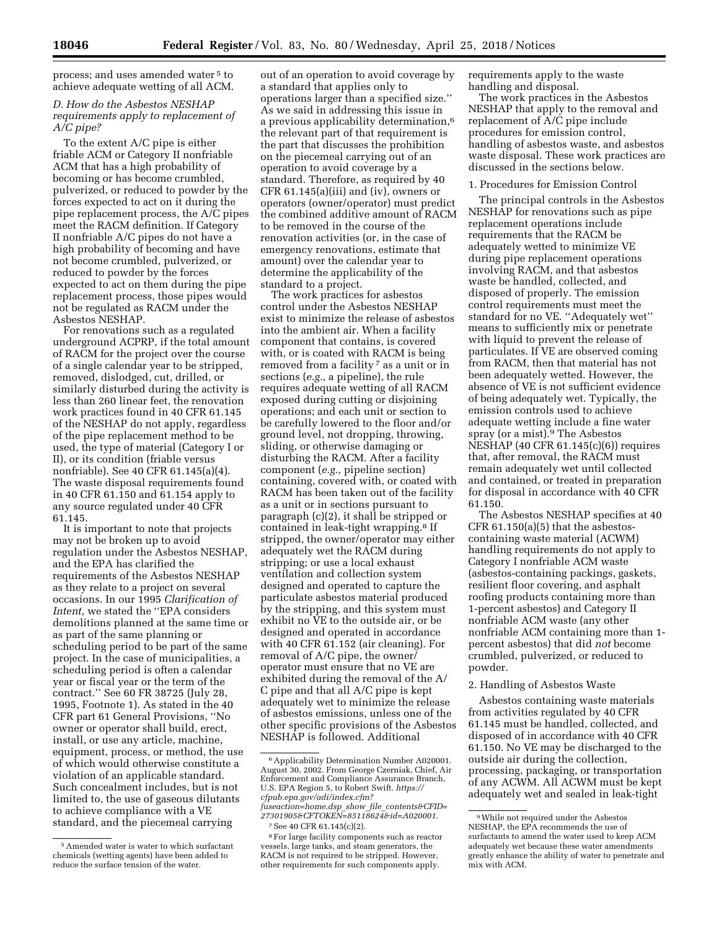process; and uses amended water 5 to achieve adequate wetting of all ACM.

# *D. How do the Asbestos NESHAP requirements apply to replacement of A/C pipe?*

To the extent A/C pipe is either friable ACM or Category II nonfriable ACM that has a high probability of becoming or has become crumbled, pulverized, or reduced to powder by the forces expected to act on it during the pipe replacement process, the A/C pipes meet the RACM definition. If Category II nonfriable A/C pipes do not have a high probability of becoming and have not become crumbled, pulverized, or reduced to powder by the forces expected to act on them during the pipe replacement process, those pipes would not be regulated as RACM under the Asbestos NESHAP.

For renovations such as a regulated underground ACPRP, if the total amount of RACM for the project over the course of a single calendar year to be stripped, removed, dislodged, cut, drilled, or similarly disturbed during the activity is less than 260 linear feet, the renovation work practices found in 40 CFR 61.145 of the NESHAP do not apply, regardless of the pipe replacement method to be used, the type of material (Category I or II), or its condition (friable versus nonfriable). See 40 CFR 61.145(a)(4). The waste disposal requirements found in 40 CFR 61.150 and 61.154 apply to any source regulated under 40 CFR 61.145.

It is important to note that projects may not be broken up to avoid regulation under the Asbestos NESHAP, and the EPA has clarified the requirements of the Asbestos NESHAP as they relate to a project on several occasions. In our 1995 *Clarification of Intent,* we stated the ''EPA considers demolitions planned at the same time or as part of the same planning or scheduling period to be part of the same project. In the case of municipalities, a scheduling period is often a calendar year or fiscal year or the term of the contract.'' See 60 FR 38725 (July 28, 1995, Footnote 1). As stated in the 40 CFR part 61 General Provisions, ''No owner or operator shall build, erect, install, or use any article, machine, equipment, process, or method, the use of which would otherwise constitute a violation of an applicable standard. Such concealment includes, but is not limited to, the use of gaseous dilutants to achieve compliance with a VE standard, and the piecemeal carrying

out of an operation to avoid coverage by a standard that applies only to operations larger than a specified size.'' As we said in addressing this issue in a previous applicability determination,6 the relevant part of that requirement is the part that discusses the prohibition on the piecemeal carrying out of an operation to avoid coverage by a standard. Therefore, as required by 40 CFR 61.145(a)(iii) and (iv), owners or operators (owner/operator) must predict the combined additive amount of RACM to be removed in the course of the renovation activities (or, in the case of emergency renovations, estimate that amount) over the calendar year to determine the applicability of the standard to a project.

The work practices for asbestos control under the Asbestos NESHAP exist to minimize the release of asbestos into the ambient air. When a facility component that contains, is covered with, or is coated with RACM is being removed from a facility <sup>7</sup> as a unit or in sections (*e.g.,* a pipeline), the rule requires adequate wetting of all RACM exposed during cutting or disjoining operations; and each unit or section to be carefully lowered to the floor and/or ground level, not dropping, throwing, sliding, or otherwise damaging or disturbing the RACM. After a facility component (*e.g.,* pipeline section) containing, covered with, or coated with RACM has been taken out of the facility as a unit or in sections pursuant to paragraph (c)(2), it shall be stripped or contained in leak-tight wrapping.8 If stripped, the owner/operator may either adequately wet the RACM during stripping; or use a local exhaust ventilation and collection system designed and operated to capture the particulate asbestos material produced by the stripping, and this system must exhibit no VE to the outside air, or be designed and operated in accordance with 40 CFR 61.152 (air cleaning). For removal of A/C pipe, the owner/ operator must ensure that no VE are exhibited during the removal of the A/ C pipe and that all A/C pipe is kept adequately wet to minimize the release of asbestos emissions, unless one of the other specific provisions of the Asbestos NESHAP is followed. Additional

*[fuseaction=home.dsp](https://cfpub.epa.gov/adi/index.cfm?fuseaction=home.dsp_show_file_contents&CFID=27301905&CFTOKEN=85118624&id=A020001)*\_*show*\_*file*\_*contents&CFID= [27301905&CFTOKEN=85118624&id=A020001.](https://cfpub.epa.gov/adi/index.cfm?fuseaction=home.dsp_show_file_contents&CFID=27301905&CFTOKEN=85118624&id=A020001)*  7See 40 CFR 61.145(c)(2).

requirements apply to the waste handling and disposal.

The work practices in the Asbestos NESHAP that apply to the removal and replacement of A/C pipe include procedures for emission control, handling of asbestos waste, and asbestos waste disposal. These work practices are discussed in the sections below.

## 1. Procedures for Emission Control

The principal controls in the Asbestos NESHAP for renovations such as pipe replacement operations include requirements that the RACM be adequately wetted to minimize VE during pipe replacement operations involving RACM, and that asbestos waste be handled, collected, and disposed of properly. The emission control requirements must meet the standard for no VE. ''Adequately wet'' means to sufficiently mix or penetrate with liquid to prevent the release of particulates. If VE are observed coming from RACM, then that material has not been adequately wetted. However, the absence of VE is not sufficient evidence of being adequately wet. Typically, the emission controls used to achieve adequate wetting include a fine water spray (or a mist).9 The Asbestos NESHAP (40 CFR 61.145(c)(6)) requires that, after removal, the RACM must remain adequately wet until collected and contained, or treated in preparation for disposal in accordance with 40 CFR 61.150.

The Asbestos NESHAP specifies at 40 CFR 61.150(a)(5) that the asbestoscontaining waste material (ACWM) handling requirements do not apply to Category I nonfriable ACM waste (asbestos-containing packings, gaskets, resilient floor covering, and asphalt roofing products containing more than 1-percent asbestos) and Category II nonfriable ACM waste (any other nonfriable ACM containing more than 1 percent asbestos) that did *not* become crumbled, pulverized, or reduced to powder.

### 2. Handling of Asbestos Waste

Asbestos containing waste materials from activities regulated by 40 CFR 61.145 must be handled, collected, and disposed of in accordance with 40 CFR 61.150. No VE may be discharged to the outside air during the collection, processing, packaging, or transportation of any ACWM. All ACWM must be kept adequately wet and sealed in leak-tight

<sup>5</sup>Amended water is water to which surfactant chemicals (wetting agents) have been added to reduce the surface tension of the water.

<sup>6</sup>Applicability Determination Number A020001. August 30, 2002. From George Czerniak, Chief, Air Enforcement and Compliance Assurance Branch, U.S. EPA Region 5, to Robert Swift. *[https://](https://cfpub.epa.gov/adi/index.cfm?fuseaction=home.dsp_show_file_contents&CFID=27301905&CFTOKEN=85118624&id=A020001) [cfpub.epa.gov/adi/index.cfm?](https://cfpub.epa.gov/adi/index.cfm?fuseaction=home.dsp_show_file_contents&CFID=27301905&CFTOKEN=85118624&id=A020001)*

<sup>8</sup>For large facility components such as reactor vessels, large tanks, and steam generators, the RACM is not required to be stripped. However, other requirements for such components apply.

<sup>9</sup>While not required under the Asbestos NESHAP, the EPA recommends the use of surfactants to amend the water used to keep ACM adequately wet because these water amendments greatly enhance the ability of water to penetrate and mix with ACM.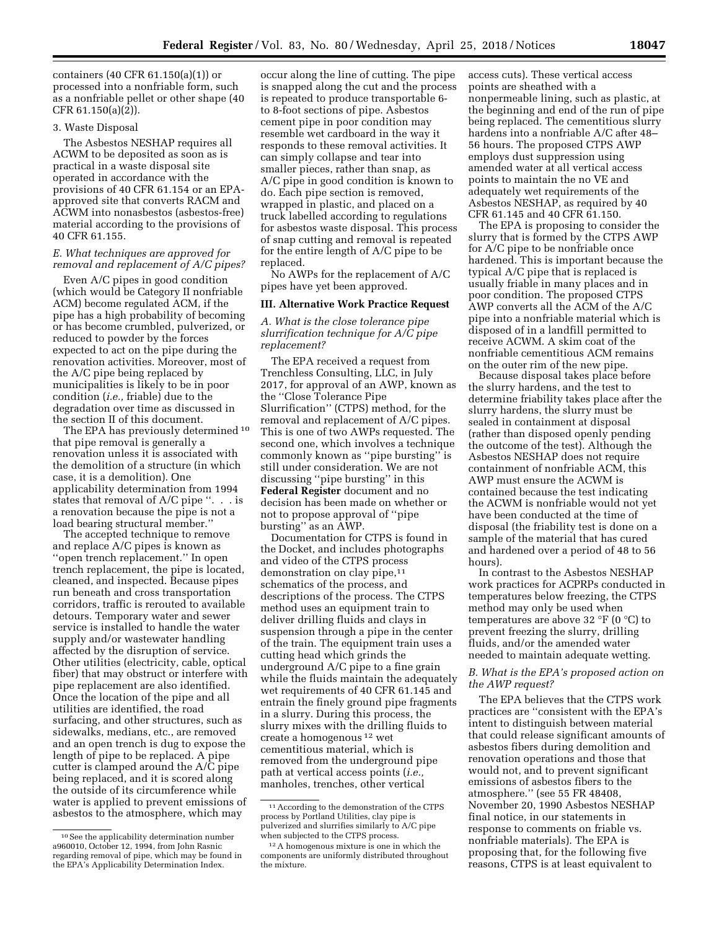containers (40 CFR 61.150(a)(1)) or processed into a nonfriable form, such as a nonfriable pellet or other shape (40 CFR 61.150(a)(2)).

# 3. Waste Disposal

The Asbestos NESHAP requires all ACWM to be deposited as soon as is practical in a waste disposal site operated in accordance with the provisions of 40 CFR 61.154 or an EPAapproved site that converts RACM and ACWM into nonasbestos (asbestos-free) material according to the provisions of 40 CFR 61.155.

# *E. What techniques are approved for removal and replacement of A/C pipes?*

Even A/C pipes in good condition (which would be Category II nonfriable ACM) become regulated ACM, if the pipe has a high probability of becoming or has become crumbled, pulverized, or reduced to powder by the forces expected to act on the pipe during the renovation activities. Moreover, most of the A/C pipe being replaced by municipalities is likely to be in poor condition (*i.e.,* friable) due to the degradation over time as discussed in the section II of this document.

The EPA has previously determined 10 that pipe removal is generally a renovation unless it is associated with the demolition of a structure (in which case, it is a demolition). One applicability determination from 1994 states that removal of A/C pipe ''. . . is a renovation because the pipe is not a load bearing structural member.''

The accepted technique to remove and replace A/C pipes is known as ''open trench replacement.'' In open trench replacement, the pipe is located, cleaned, and inspected. Because pipes run beneath and cross transportation corridors, traffic is rerouted to available detours. Temporary water and sewer service is installed to handle the water supply and/or wastewater handling affected by the disruption of service. Other utilities (electricity, cable, optical fiber) that may obstruct or interfere with pipe replacement are also identified. Once the location of the pipe and all utilities are identified, the road surfacing, and other structures, such as sidewalks, medians, etc., are removed and an open trench is dug to expose the length of pipe to be replaced. A pipe cutter is clamped around the A/C pipe being replaced, and it is scored along the outside of its circumference while water is applied to prevent emissions of asbestos to the atmosphere, which may

occur along the line of cutting. The pipe is snapped along the cut and the process is repeated to produce transportable 6 to 8-foot sections of pipe. Asbestos cement pipe in poor condition may resemble wet cardboard in the way it responds to these removal activities. It can simply collapse and tear into smaller pieces, rather than snap, as A/C pipe in good condition is known to do. Each pipe section is removed, wrapped in plastic, and placed on a truck labelled according to regulations for asbestos waste disposal. This process of snap cutting and removal is repeated for the entire length of A/C pipe to be replaced.

No AWPs for the replacement of A/C pipes have yet been approved.

# **III. Alternative Work Practice Request**

*A. What is the close tolerance pipe slurrification technique for A/C pipe replacement?* 

The EPA received a request from Trenchless Consulting, LLC, in July 2017, for approval of an AWP, known as the ''Close Tolerance Pipe Slurrification'' (CTPS) method, for the removal and replacement of A/C pipes. This is one of two AWPs requested. The second one, which involves a technique commonly known as ''pipe bursting'' is still under consideration. We are not discussing ''pipe bursting'' in this **Federal Register** document and no decision has been made on whether or not to propose approval of ''pipe bursting'' as an AWP.

Documentation for CTPS is found in the Docket, and includes photographs and video of the CTPS process demonstration on clay pipe,<sup>11</sup> schematics of the process, and descriptions of the process. The CTPS method uses an equipment train to deliver drilling fluids and clays in suspension through a pipe in the center of the train. The equipment train uses a cutting head which grinds the underground A/C pipe to a fine grain while the fluids maintain the adequately wet requirements of 40 CFR 61.145 and entrain the finely ground pipe fragments in a slurry. During this process, the slurry mixes with the drilling fluids to create a homogenous 12 wet cementitious material, which is removed from the underground pipe path at vertical access points (*i.e.,*  manholes, trenches, other vertical

access cuts). These vertical access points are sheathed with a nonpermeable lining, such as plastic, at the beginning and end of the run of pipe being replaced. The cementitious slurry hardens into a nonfriable A/C after 48– 56 hours. The proposed CTPS AWP employs dust suppression using amended water at all vertical access points to maintain the no VE and adequately wet requirements of the Asbestos NESHAP, as required by 40 CFR 61.145 and 40 CFR 61.150.

The EPA is proposing to consider the slurry that is formed by the CTPS AWP for A/C pipe to be nonfriable once hardened. This is important because the typical A/C pipe that is replaced is usually friable in many places and in poor condition. The proposed CTPS AWP converts all the ACM of the A/C pipe into a nonfriable material which is disposed of in a landfill permitted to receive ACWM. A skim coat of the nonfriable cementitious ACM remains on the outer rim of the new pipe.

Because disposal takes place before the slurry hardens, and the test to determine friability takes place after the slurry hardens, the slurry must be sealed in containment at disposal (rather than disposed openly pending the outcome of the test). Although the Asbestos NESHAP does not require containment of nonfriable ACM, this AWP must ensure the ACWM is contained because the test indicating the ACWM is nonfriable would not yet have been conducted at the time of disposal (the friability test is done on a sample of the material that has cured and hardened over a period of 48 to 56 hours).

In contrast to the Asbestos NESHAP work practices for ACPRPs conducted in temperatures below freezing, the CTPS method may only be used when temperatures are above 32 °F (0 °C) to prevent freezing the slurry, drilling fluids, and/or the amended water needed to maintain adequate wetting.

# *B. What is the EPA's proposed action on the AWP request?*

The EPA believes that the CTPS work practices are ''consistent with the EPA's intent to distinguish between material that could release significant amounts of asbestos fibers during demolition and renovation operations and those that would not, and to prevent significant emissions of asbestos fibers to the atmosphere.'' (see 55 FR 48408, November 20, 1990 Asbestos NESHAP final notice, in our statements in response to comments on friable vs. nonfriable materials). The EPA is proposing that, for the following five reasons, CTPS is at least equivalent to

<sup>10</sup>See the applicability determination number a960010, October 12, 1994, from John Rasnic regarding removal of pipe, which may be found in the EPA's Applicability Determination Index.

 $^{\rm 11}\,$  According to the demonstration of the CTPS process by Portland Utilities, clay pipe is pulverized and slurrifies similarly to A/C pipe when subjected to the CTPS process.

<sup>12</sup>A homogenous mixture is one in which the components are uniformly distributed throughout the mixture.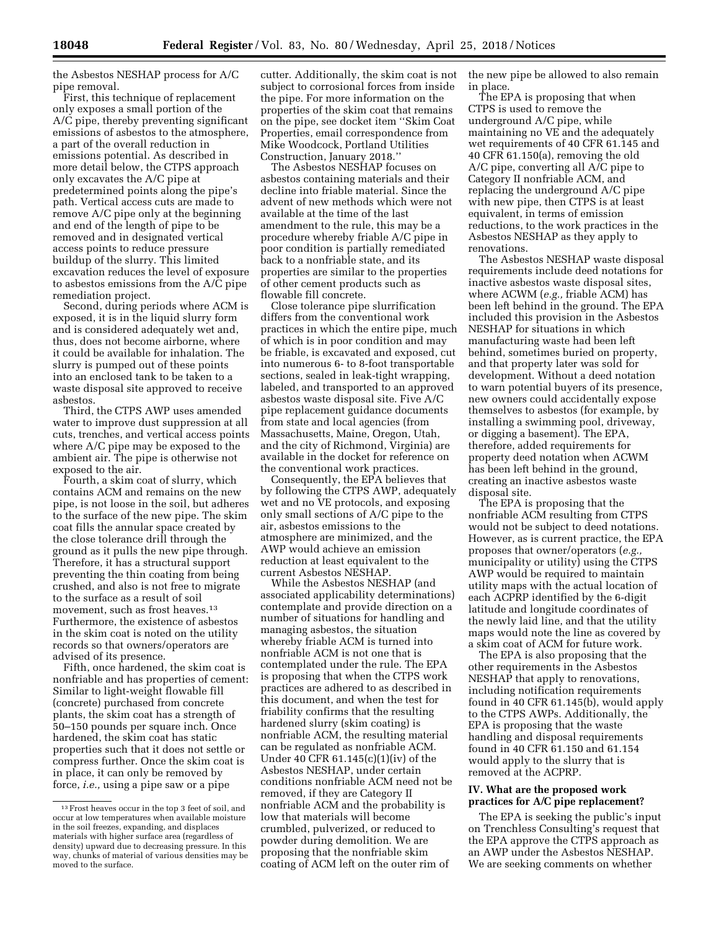the Asbestos NESHAP process for A/C pipe removal.

First, this technique of replacement only exposes a small portion of the A/C pipe, thereby preventing significant emissions of asbestos to the atmosphere, a part of the overall reduction in emissions potential. As described in more detail below, the CTPS approach only excavates the A/C pipe at predetermined points along the pipe's path. Vertical access cuts are made to remove A/C pipe only at the beginning and end of the length of pipe to be removed and in designated vertical access points to reduce pressure buildup of the slurry. This limited excavation reduces the level of exposure to asbestos emissions from the A/C pipe remediation project.

Second, during periods where ACM is exposed, it is in the liquid slurry form and is considered adequately wet and, thus, does not become airborne, where it could be available for inhalation. The slurry is pumped out of these points into an enclosed tank to be taken to a waste disposal site approved to receive asbestos.

Third, the CTPS AWP uses amended water to improve dust suppression at all cuts, trenches, and vertical access points where A/C pipe may be exposed to the ambient air. The pipe is otherwise not exposed to the air.

Fourth, a skim coat of slurry, which contains ACM and remains on the new pipe, is not loose in the soil, but adheres to the surface of the new pipe. The skim coat fills the annular space created by the close tolerance drill through the ground as it pulls the new pipe through. Therefore, it has a structural support preventing the thin coating from being crushed, and also is not free to migrate to the surface as a result of soil movement, such as frost heaves.<sup>13</sup> Furthermore, the existence of asbestos in the skim coat is noted on the utility records so that owners/operators are advised of its presence.

Fifth, once hardened, the skim coat is nonfriable and has properties of cement: Similar to light-weight flowable fill (concrete) purchased from concrete plants, the skim coat has a strength of 50–150 pounds per square inch. Once hardened, the skim coat has static properties such that it does not settle or compress further. Once the skim coat is in place, it can only be removed by force, *i.e.,* using a pipe saw or a pipe

cutter. Additionally, the skim coat is not subject to corrosional forces from inside the pipe. For more information on the properties of the skim coat that remains on the pipe, see docket item ''Skim Coat Properties, email correspondence from Mike Woodcock, Portland Utilities Construction, January 2018.''

The Asbestos NESHAP focuses on asbestos containing materials and their decline into friable material. Since the advent of new methods which were not available at the time of the last amendment to the rule, this may be a procedure whereby friable A/C pipe in poor condition is partially remediated back to a nonfriable state, and its properties are similar to the properties of other cement products such as flowable fill concrete.

Close tolerance pipe slurrification differs from the conventional work practices in which the entire pipe, much of which is in poor condition and may be friable, is excavated and exposed, cut into numerous 6- to 8-foot transportable sections, sealed in leak-tight wrapping, labeled, and transported to an approved asbestos waste disposal site. Five A/C pipe replacement guidance documents from state and local agencies (from Massachusetts, Maine, Oregon, Utah, and the city of Richmond, Virginia) are available in the docket for reference on the conventional work practices.

Consequently, the EPA believes that by following the CTPS AWP, adequately wet and no VE protocols, and exposing only small sections of A/C pipe to the air, asbestos emissions to the atmosphere are minimized, and the AWP would achieve an emission reduction at least equivalent to the current Asbestos NESHAP.

While the Asbestos NESHAP (and associated applicability determinations) contemplate and provide direction on a number of situations for handling and managing asbestos, the situation whereby friable ACM is turned into nonfriable ACM is not one that is contemplated under the rule. The EPA is proposing that when the CTPS work practices are adhered to as described in this document, and when the test for friability confirms that the resulting hardened slurry (skim coating) is nonfriable ACM, the resulting material can be regulated as nonfriable ACM. Under 40 CFR 61.145(c)(1)(iv) of the Asbestos NESHAP, under certain conditions nonfriable ACM need not be removed, if they are Category II nonfriable ACM and the probability is low that materials will become crumbled, pulverized, or reduced to powder during demolition. We are proposing that the nonfriable skim coating of ACM left on the outer rim of

the new pipe be allowed to also remain in place.

The EPA is proposing that when CTPS is used to remove the underground A/C pipe, while maintaining no VE and the adequately wet requirements of 40 CFR 61.145 and 40 CFR 61.150(a), removing the old A/C pipe, converting all A/C pipe to Category II nonfriable ACM, and replacing the underground A/C pipe with new pipe, then CTPS is at least equivalent, in terms of emission reductions, to the work practices in the Asbestos NESHAP as they apply to renovations.

The Asbestos NESHAP waste disposal requirements include deed notations for inactive asbestos waste disposal sites, where ACWM (*e.g.,* friable ACM) has been left behind in the ground. The EPA included this provision in the Asbestos NESHAP for situations in which manufacturing waste had been left behind, sometimes buried on property, and that property later was sold for development. Without a deed notation to warn potential buyers of its presence, new owners could accidentally expose themselves to asbestos (for example, by installing a swimming pool, driveway, or digging a basement). The EPA, therefore, added requirements for property deed notation when ACWM has been left behind in the ground, creating an inactive asbestos waste disposal site.

The EPA is proposing that the nonfriable ACM resulting from CTPS would not be subject to deed notations. However, as is current practice, the EPA proposes that owner/operators (*e.g.,*  municipality or utility) using the CTPS AWP would be required to maintain utility maps with the actual location of each ACPRP identified by the 6-digit latitude and longitude coordinates of the newly laid line, and that the utility maps would note the line as covered by a skim coat of ACM for future work.

The EPA is also proposing that the other requirements in the Asbestos NESHAP that apply to renovations, including notification requirements found in 40 CFR 61.145(b), would apply to the CTPS AWPs. Additionally, the EPA is proposing that the waste handling and disposal requirements found in 40 CFR 61.150 and 61.154 would apply to the slurry that is removed at the ACPRP.

# **IV. What are the proposed work practices for A/C pipe replacement?**

The EPA is seeking the public's input on Trenchless Consulting's request that the EPA approve the CTPS approach as an AWP under the Asbestos NESHAP. We are seeking comments on whether

<sup>13</sup>Frost heaves occur in the top 3 feet of soil, and occur at low temperatures when available moisture in the soil freezes, expanding, and displaces materials with higher surface area (regardless of density) upward due to decreasing pressure. In this way, chunks of material of various densities may be moved to the surface.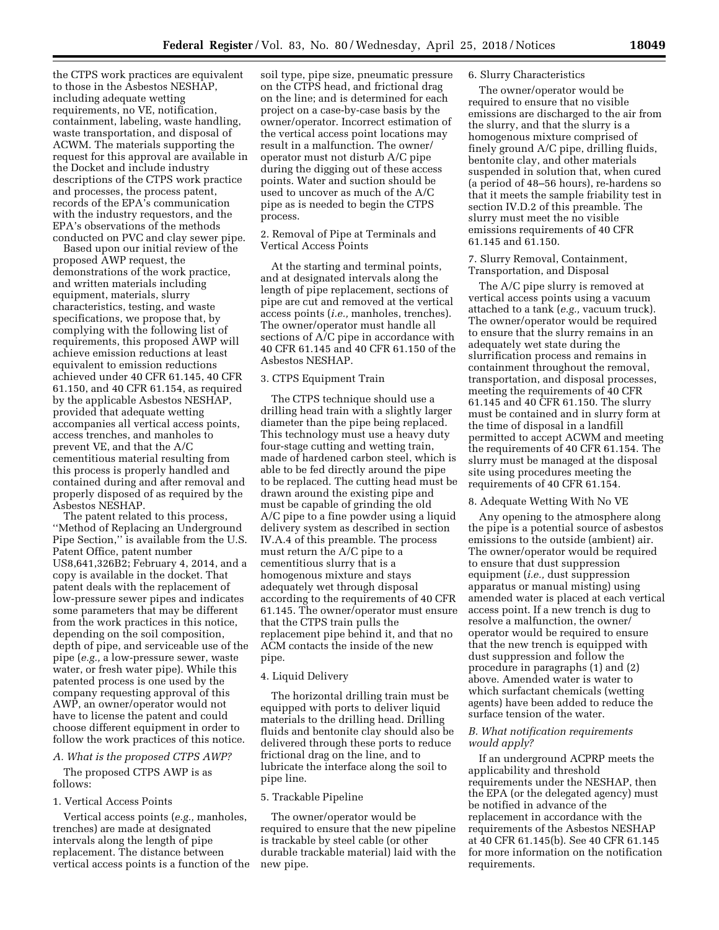the CTPS work practices are equivalent to those in the Asbestos NESHAP, including adequate wetting requirements, no VE, notification, containment, labeling, waste handling, waste transportation, and disposal of ACWM. The materials supporting the request for this approval are available in the Docket and include industry descriptions of the CTPS work practice and processes, the process patent, records of the EPA's communication with the industry requestors, and the EPA's observations of the methods conducted on PVC and clay sewer pipe.

Based upon our initial review of the proposed AWP request, the demonstrations of the work practice, and written materials including equipment, materials, slurry characteristics, testing, and waste specifications, we propose that, by complying with the following list of requirements, this proposed AWP will achieve emission reductions at least equivalent to emission reductions achieved under 40 CFR 61.145, 40 CFR 61.150, and 40 CFR 61.154, as required by the applicable Asbestos NESHAP, provided that adequate wetting accompanies all vertical access points, access trenches, and manholes to prevent VE, and that the A/C cementitious material resulting from this process is properly handled and contained during and after removal and properly disposed of as required by the Asbestos NESHAP.

The patent related to this process, ''Method of Replacing an Underground Pipe Section,'' is available from the U.S. Patent Office, patent number US8,641,326B2; February 4, 2014, and a copy is available in the docket. That patent deals with the replacement of low-pressure sewer pipes and indicates some parameters that may be different from the work practices in this notice, depending on the soil composition, depth of pipe, and serviceable use of the pipe (*e.g.,* a low-pressure sewer, waste water, or fresh water pipe). While this patented process is one used by the company requesting approval of this AWP, an owner/operator would not have to license the patent and could choose different equipment in order to follow the work practices of this notice.

### *A. What is the proposed CTPS AWP?*

The proposed CTPS AWP is as follows:

### 1. Vertical Access Points

Vertical access points (*e.g.,* manholes, trenches) are made at designated intervals along the length of pipe replacement. The distance between vertical access points is a function of the

soil type, pipe size, pneumatic pressure on the CTPS head, and frictional drag on the line; and is determined for each project on a case-by-case basis by the owner/operator. Incorrect estimation of the vertical access point locations may result in a malfunction. The owner/ operator must not disturb A/C pipe during the digging out of these access points. Water and suction should be used to uncover as much of the A/C pipe as is needed to begin the CTPS process.

# 2. Removal of Pipe at Terminals and Vertical Access Points

At the starting and terminal points, and at designated intervals along the length of pipe replacement, sections of pipe are cut and removed at the vertical access points (*i.e.,* manholes, trenches). The owner/operator must handle all sections of A/C pipe in accordance with 40 CFR 61.145 and 40 CFR 61.150 of the Asbestos NESHAP.

#### 3. CTPS Equipment Train

The CTPS technique should use a drilling head train with a slightly larger diameter than the pipe being replaced. This technology must use a heavy duty four-stage cutting and wetting train, made of hardened carbon steel, which is able to be fed directly around the pipe to be replaced. The cutting head must be drawn around the existing pipe and must be capable of grinding the old A/C pipe to a fine powder using a liquid delivery system as described in section IV.A.4 of this preamble. The process must return the A/C pipe to a cementitious slurry that is a homogenous mixture and stays adequately wet through disposal according to the requirements of 40 CFR 61.145. The owner/operator must ensure that the CTPS train pulls the replacement pipe behind it, and that no ACM contacts the inside of the new pipe.

### 4. Liquid Delivery

The horizontal drilling train must be equipped with ports to deliver liquid materials to the drilling head. Drilling fluids and bentonite clay should also be delivered through these ports to reduce frictional drag on the line, and to lubricate the interface along the soil to pipe line.

#### 5. Trackable Pipeline

The owner/operator would be required to ensure that the new pipeline is trackable by steel cable (or other durable trackable material) laid with the new pipe.

#### 6. Slurry Characteristics

The owner/operator would be required to ensure that no visible emissions are discharged to the air from the slurry, and that the slurry is a homogenous mixture comprised of finely ground A/C pipe, drilling fluids, bentonite clay, and other materials suspended in solution that, when cured (a period of 48–56 hours), re-hardens so that it meets the sample friability test in section IV.D.2 of this preamble. The slurry must meet the no visible emissions requirements of 40 CFR 61.145 and 61.150.

### 7. Slurry Removal, Containment, Transportation, and Disposal

The A/C pipe slurry is removed at vertical access points using a vacuum attached to a tank (*e.g.,* vacuum truck). The owner/operator would be required to ensure that the slurry remains in an adequately wet state during the slurrification process and remains in containment throughout the removal, transportation, and disposal processes, meeting the requirements of 40 CFR 61.145 and 40 CFR 61.150. The slurry must be contained and in slurry form at the time of disposal in a landfill permitted to accept ACWM and meeting the requirements of 40 CFR 61.154. The slurry must be managed at the disposal site using procedures meeting the requirements of 40 CFR 61.154.

# 8. Adequate Wetting With No VE

Any opening to the atmosphere along the pipe is a potential source of asbestos emissions to the outside (ambient) air. The owner/operator would be required to ensure that dust suppression equipment (*i.e.,* dust suppression apparatus or manual misting) using amended water is placed at each vertical access point. If a new trench is dug to resolve a malfunction, the owner/ operator would be required to ensure that the new trench is equipped with dust suppression and follow the procedure in paragraphs (1) and (2) above. Amended water is water to which surfactant chemicals (wetting agents) have been added to reduce the surface tension of the water.

## *B. What notification requirements would apply?*

If an underground ACPRP meets the applicability and threshold requirements under the NESHAP, then the EPA (or the delegated agency) must be notified in advance of the replacement in accordance with the requirements of the Asbestos NESHAP at 40 CFR 61.145(b). See 40 CFR 61.145 for more information on the notification requirements.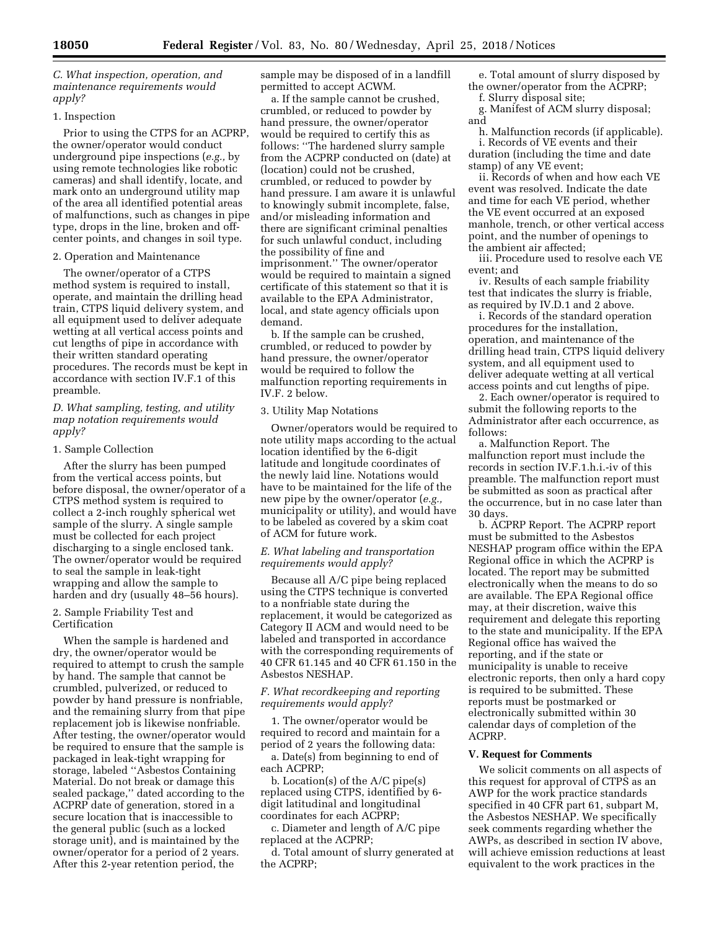*C. What inspection, operation, and maintenance requirements would apply?* 

### 1. Inspection

Prior to using the CTPS for an ACPRP, the owner/operator would conduct underground pipe inspections (*e.g.,* by using remote technologies like robotic cameras) and shall identify, locate, and mark onto an underground utility map of the area all identified potential areas of malfunctions, such as changes in pipe type, drops in the line, broken and offcenter points, and changes in soil type.

#### 2. Operation and Maintenance

The owner/operator of a CTPS method system is required to install, operate, and maintain the drilling head train, CTPS liquid delivery system, and all equipment used to deliver adequate wetting at all vertical access points and cut lengths of pipe in accordance with their written standard operating procedures. The records must be kept in accordance with section IV.F.1 of this preamble.

# *D. What sampling, testing, and utility map notation requirements would apply?*

#### 1. Sample Collection

After the slurry has been pumped from the vertical access points, but before disposal, the owner/operator of a CTPS method system is required to collect a 2-inch roughly spherical wet sample of the slurry. A single sample must be collected for each project discharging to a single enclosed tank. The owner/operator would be required to seal the sample in leak-tight wrapping and allow the sample to harden and dry (usually 48–56 hours).

### 2. Sample Friability Test and Certification

When the sample is hardened and dry, the owner/operator would be required to attempt to crush the sample by hand. The sample that cannot be crumbled, pulverized, or reduced to powder by hand pressure is nonfriable, and the remaining slurry from that pipe replacement job is likewise nonfriable. After testing, the owner/operator would be required to ensure that the sample is packaged in leak-tight wrapping for storage, labeled ''Asbestos Containing Material. Do not break or damage this sealed package,'' dated according to the ACPRP date of generation, stored in a secure location that is inaccessible to the general public (such as a locked storage unit), and is maintained by the owner/operator for a period of 2 years. After this 2-year retention period, the

sample may be disposed of in a landfill permitted to accept ACWM.

a. If the sample cannot be crushed, crumbled, or reduced to powder by hand pressure, the owner/operator would be required to certify this as follows: ''The hardened slurry sample from the ACPRP conducted on (date) at (location) could not be crushed, crumbled, or reduced to powder by hand pressure. I am aware it is unlawful to knowingly submit incomplete, false, and/or misleading information and there are significant criminal penalties for such unlawful conduct, including the possibility of fine and imprisonment.'' The owner/operator would be required to maintain a signed certificate of this statement so that it is available to the EPA Administrator, local, and state agency officials upon demand.

b. If the sample can be crushed, crumbled, or reduced to powder by hand pressure, the owner/operator would be required to follow the malfunction reporting requirements in IV.F. 2 below.

#### 3. Utility Map Notations

Owner/operators would be required to note utility maps according to the actual location identified by the 6-digit latitude and longitude coordinates of the newly laid line. Notations would have to be maintained for the life of the new pipe by the owner/operator (*e.g.,*  municipality or utility), and would have to be labeled as covered by a skim coat of ACM for future work.

## *E. What labeling and transportation requirements would apply?*

Because all A/C pipe being replaced using the CTPS technique is converted to a nonfriable state during the replacement, it would be categorized as Category II ACM and would need to be labeled and transported in accordance with the corresponding requirements of 40 CFR 61.145 and 40 CFR 61.150 in the Asbestos NESHAP.

### *F. What recordkeeping and reporting requirements would apply?*

1. The owner/operator would be required to record and maintain for a period of 2 years the following data: a. Date(s) from beginning to end of each ACPRP;

b. Location(s) of the A/C pipe(s) replaced using CTPS, identified by 6 digit latitudinal and longitudinal coordinates for each ACPRP;

c. Diameter and length of A/C pipe replaced at the ACPRP;

d. Total amount of slurry generated at the ACPRP;

e. Total amount of slurry disposed by the owner/operator from the ACPRP;

f. Slurry disposal site;

g. Manifest of ACM slurry disposal; and

h. Malfunction records (if applicable). i. Records of VE events and their duration (including the time and date stamp) of any VE event;

ii. Records of when and how each VE event was resolved. Indicate the date and time for each VE period, whether the VE event occurred at an exposed manhole, trench, or other vertical access point, and the number of openings to the ambient air affected;

iii. Procedure used to resolve each VE event; and

iv. Results of each sample friability test that indicates the slurry is friable, as required by IV.D.1 and 2 above.

i. Records of the standard operation procedures for the installation, operation, and maintenance of the drilling head train, CTPS liquid delivery system, and all equipment used to deliver adequate wetting at all vertical access points and cut lengths of pipe.

2. Each owner/operator is required to submit the following reports to the Administrator after each occurrence, as follows:

a. Malfunction Report. The malfunction report must include the records in section IV.F.1.h.i.-iv of this preamble. The malfunction report must be submitted as soon as practical after the occurrence, but in no case later than 30 days.

b. ACPRP Report. The ACPRP report must be submitted to the Asbestos NESHAP program office within the EPA Regional office in which the ACPRP is located. The report may be submitted electronically when the means to do so are available. The EPA Regional office may, at their discretion, waive this requirement and delegate this reporting to the state and municipality. If the EPA Regional office has waived the reporting, and if the state or municipality is unable to receive electronic reports, then only a hard copy is required to be submitted. These reports must be postmarked or electronically submitted within 30 calendar days of completion of the ACPRP.

# **V. Request for Comments**

We solicit comments on all aspects of this request for approval of CTPS as an AWP for the work practice standards specified in 40 CFR part 61, subpart M, the Asbestos NESHAP. We specifically seek comments regarding whether the AWPs, as described in section IV above, will achieve emission reductions at least equivalent to the work practices in the